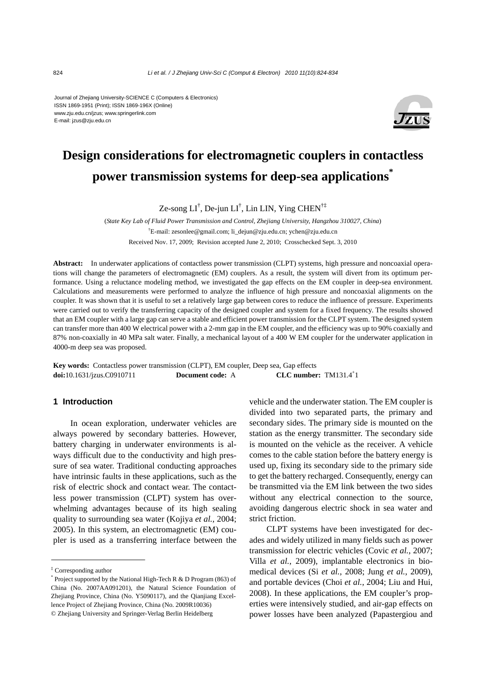E-mail: jzus@zju.edu.cn Journal of Zhejiang University-SCIENCE C (Computers & Electronics) ISSN 1869-1951 (Print); ISSN 1869-196X (Online) www.zju.edu.cn/jzus; www.springerlink.com



# **Design considerations for electromagnetic couplers in contactless power transmission systems for deep-sea applications\***

Ze-song LI† , De-jun LI† , Lin LIN, Ying CHEN†‡

(*State Key Lab of Fluid Power Transmission and Control, Zhejiang University, Hangzhou 310027, China*) † E-mail: zesonlee@gmail.com; li\_dejun@zju.edu.cn; ychen@zju.edu.cn Received Nov. 17, 2009; Revision accepted June 2, 2010; Crosschecked Sept. 3, 2010

**Abstract:** In underwater applications of contactless power transmission (CLPT) systems, high pressure and noncoaxial operations will change the parameters of electromagnetic (EM) couplers. As a result, the system will divert from its optimum performance. Using a reluctance modeling method, we investigated the gap effects on the EM coupler in deep-sea environment. Calculations and measurements were performed to analyze the influence of high pressure and noncoaxial alignments on the coupler. It was shown that it is useful to set a relatively large gap between cores to reduce the influence of pressure. Experiments were carried out to verify the transferring capacity of the designed coupler and system for a fixed frequency. The results showed that an EM coupler with a large gap can serve a stable and efficient power transmission for the CLPT system. The designed system can transfer more than 400 W electrical power with a 2-mm gap in the EM coupler, and the efficiency was up to 90% coaxially and 87% non-coaxially in 40 MPa salt water. Finally, a mechanical layout of a 400 W EM coupler for the underwater application in 4000-m deep sea was proposed.

**Key words:** Contactless power transmission (CLPT), EM coupler, Deep sea, Gap effects **doi:**10.1631/jzus.C0910711 **Document code:** A **CLC** number: TM131.4<sup>+</sup>1

## **1 Introduction**

In ocean exploration, underwater vehicles are always powered by secondary batteries. However, battery charging in underwater environments is always difficult due to the conductivity and high pressure of sea water. Traditional conducting approaches have intrinsic faults in these applications, such as the risk of electric shock and contact wear. The contactless power transmission (CLPT) system has overwhelming advantages because of its high sealing quality to surrounding sea water (Kojiya *et al.*, 2004; 2005). In this system, an electromagnetic (EM) coupler is used as a transferring interface between the vehicle and the underwater station. The EM coupler is divided into two separated parts, the primary and secondary sides. The primary side is mounted on the station as the energy transmitter. The secondary side is mounted on the vehicle as the receiver. A vehicle comes to the cable station before the battery energy is used up, fixing its secondary side to the primary side to get the battery recharged. Consequently, energy can be transmitted via the EM link between the two sides without any electrical connection to the source, avoiding dangerous electric shock in sea water and strict friction.

CLPT systems have been investigated for decades and widely utilized in many fields such as power transmission for electric vehicles (Covic *et al.*, 2007; Villa *et al.*, 2009), implantable electronics in biomedical devices (Si *et al.*, 2008; Jung *et al.*, 2009), and portable devices (Choi *et al.*, 2004; Liu and Hui, 2008). In these applications, the EM coupler's properties were intensively studied, and air-gap effects on power losses have been analyzed (Papastergiou and

<sup>‡</sup> Corresponding author

<sup>\*</sup> Project supported by the National High-Tech R & D Program (863) of China (No. 2007AA091201), the Natural Science Foundation of Zheijang Province, China (No. Y5090117), and the Oianjiang Excellence Project of Zhejiang Province, China (No. 2009R10036) © Zhejiang University and Springer-Verlag Berlin Heidelberg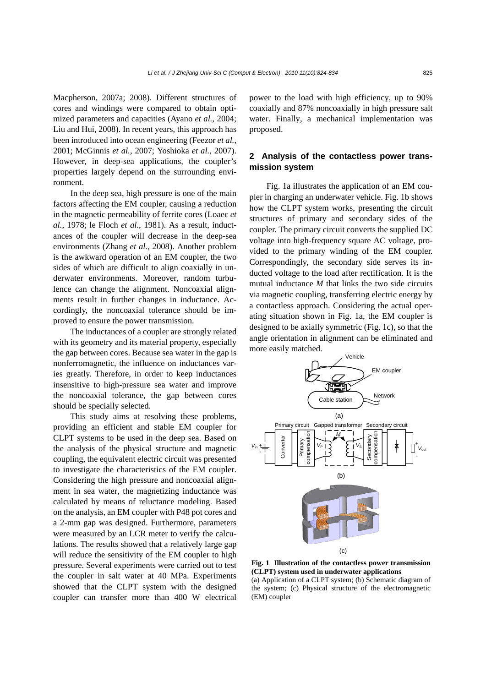Macpherson, 2007a; 2008). Different structures of cores and windings were compared to obtain optimized parameters and capacities (Ayano *et al.*, 2004; Liu and Hui, 2008). In recent years, this approach has been introduced into ocean engineering (Feezor *et al.*, 2001; McGinnis *et al.*, 2007; Yoshioka *et al.*, 2007). However, in deep-sea applications, the coupler's properties largely depend on the surrounding environment.

In the deep sea, high pressure is one of the main factors affecting the EM coupler, causing a reduction in the magnetic permeability of ferrite cores (Loaec *et al.*, 1978; le Floch *et al.*, 1981). As a result, inductances of the coupler will decrease in the deep-sea environments (Zhang *et al.*, 2008). Another problem is the awkward operation of an EM coupler, the two sides of which are difficult to align coaxially in underwater environments. Moreover, random turbulence can change the alignment. Noncoaxial alignments result in further changes in inductance. Accordingly, the noncoaxial tolerance should be improved to ensure the power transmission.

The inductances of a coupler are strongly related with its geometry and its material property, especially the gap between cores. Because sea water in the gap is nonferromagnetic, the influence on inductances varies greatly. Therefore, in order to keep inductances insensitive to high-pressure sea water and improve the noncoaxial tolerance, the gap between cores should be specially selected.

This study aims at resolving these problems, providing an efficient and stable EM coupler for CLPT systems to be used in the deep sea. Based on the analysis of the physical structure and magnetic coupling, the equivalent electric circuit was presented to investigate the characteristics of the EM coupler. Considering the high pressure and noncoaxial alignment in sea water, the magnetizing inductance was calculated by means of reluctance modeling. Based on the analysis, an EM coupler with P48 pot cores and a 2-mm gap was designed. Furthermore, parameters were measured by an LCR meter to verify the calculations. The results showed that a relatively large gap will reduce the sensitivity of the EM coupler to high pressure. Several experiments were carried out to test the coupler in salt water at 40 MPa. Experiments showed that the CLPT system with the designed coupler can transfer more than 400 W electrical power to the load with high efficiency, up to 90% coaxially and 87% noncoaxially in high pressure salt water. Finally, a mechanical implementation was proposed.

# **2 Analysis of the contactless power transmission system**

Fig. 1a illustrates the application of an EM coupler in charging an underwater vehicle. Fig. 1b shows how the CLPT system works, presenting the circuit structures of primary and secondary sides of the coupler. The primary circuit converts the supplied DC voltage into high-frequency square AC voltage, provided to the primary winding of the EM coupler. Correspondingly, the secondary side serves its inducted voltage to the load after rectification. It is the mutual inductance *M* that links the two side circuits via magnetic coupling, transferring electric energy by a contactless approach. Considering the actual operating situation shown in Fig. 1a, the EM coupler is designed to be axially symmetric (Fig. 1c), so that the angle orientation in alignment can be eliminated and more easily matched.



**Fig. 1 Illustration of the contactless power transmission (CLPT) system used in underwater applications**  (a) Application of a CLPT system; (b) Schematic diagram of

the system; (c) Physical structure of the electromagnetic (EM) coupler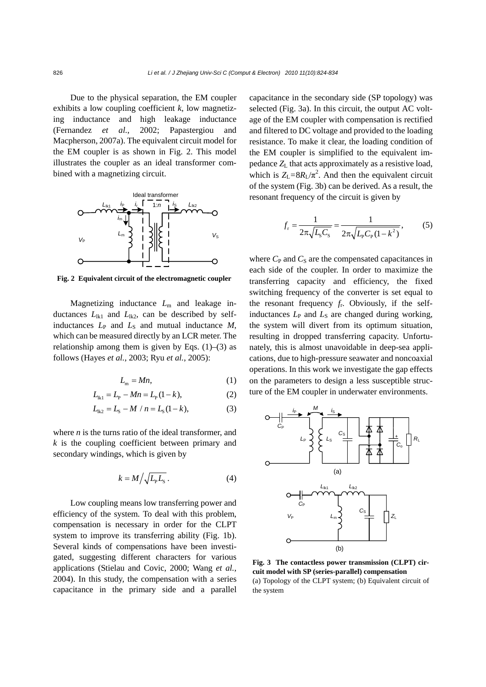Due to the physical separation, the EM coupler exhibits a low coupling coefficient *k*, low magnetizing inductance and high leakage inductance (Fernandez *et al.*, 2002; Papastergiou and Macpherson, 2007a). The equivalent circuit model for the EM coupler is as shown in Fig. 2. This model illustrates the coupler as an ideal transformer combined with a magnetizing circuit.



**Fig. 2 Equivalent circuit of the electromagnetic coupler**

Magnetizing inductance *L*m and leakage inductances  $L_{\text{lk1}}$  and  $L_{\text{lk2}}$ , can be described by selfinductances  $L_P$  and  $L_S$  and mutual inductance  $M$ , which can be measured directly by an LCR meter. The relationship among them is given by Eqs.  $(1)$ – $(3)$  as follows (Hayes *et al.*, 2003; Ryu *et al.*, 2005):

$$
L_{\rm m} = Mn,\tag{1}
$$

$$
L_{1k1} = L_{p} - Mn = L_{p}(1 - k),
$$
 (2)

$$
L_{ik2} = L_s - M / n = L_s(1 - k),
$$
 (3)

where *n* is the turns ratio of the ideal transformer, and *k* is the coupling coefficient between primary and secondary windings, which is given by

$$
k = M \left/ \sqrt{L_{\rm P} L_{\rm S}} \right. \tag{4}
$$

Low coupling means low transferring power and efficiency of the system. To deal with this problem, compensation is necessary in order for the CLPT system to improve its transferring ability (Fig. 1b). Several kinds of compensations have been investigated, suggesting different characters for various applications (Stielau and Covic, 2000; Wang *et al.*, 2004). In this study, the compensation with a series capacitance in the primary side and a parallel capacitance in the secondary side (SP topology) was selected (Fig. 3a). In this circuit, the output AC voltage of the EM coupler with compensation is rectified and filtered to DC voltage and provided to the loading resistance. To make it clear, the loading condition of the EM coupler is simplified to the equivalent impedance *Z*L that acts approximately as a resistive load, which is  $Z_L = 8R_L/\pi^2$ . And then the equivalent circuit of the system (Fig. 3b) can be derived. As a result, the resonant frequency of the circuit is given by

$$
f_{\rm r} = \frac{1}{2\pi\sqrt{L_{\rm s}C_{\rm s}}} = \frac{1}{2\pi\sqrt{L_{\rm p}C_{\rm p}(1-k^2)}},\tag{5}
$$

where  $C_P$  and  $C_S$  are the compensated capacitances in each side of the coupler. In order to maximize the transferring capacity and efficiency, the fixed switching frequency of the converter is set equal to the resonant frequency  $f_r$ . Obviously, if the selfinductances  $L_P$  and  $L_S$  are changed during working, the system will divert from its optimum situation, resulting in dropped transferring capacity. Unfortunately, this is almost unavoidable in deep-sea applications, due to high-pressure seawater and noncoaxial operations. In this work we investigate the gap effects on the parameters to design a less susceptible structure of the EM coupler in underwater environments.



**Fig. 3 The contactless power transmission (CLPT) circuit model with SP (series-parallel) compensation**  (a) Topology of the CLPT system; (b) Equivalent circuit of the system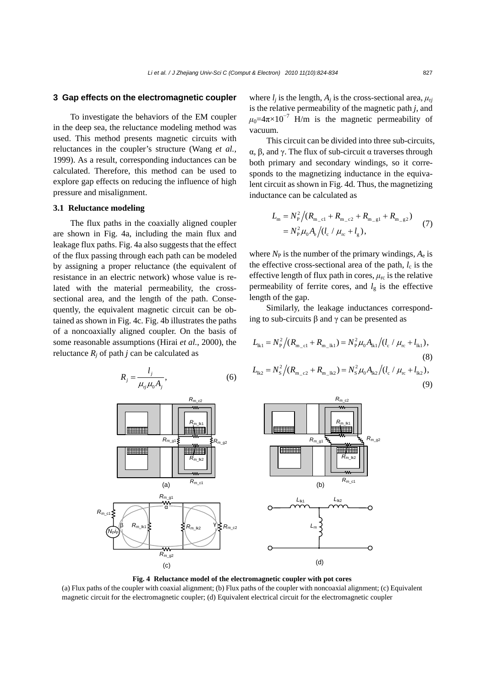## **3 Gap effects on the electromagnetic coupler**

To investigate the behaviors of the EM coupler in the deep sea, the reluctance modeling method was used. This method presents magnetic circuits with reluctances in the coupler's structure (Wang *et al.*, 1999). As a result, corresponding inductances can be calculated. Therefore, this method can be used to explore gap effects on reducing the influence of high pressure and misalignment.

### **3.1 Reluctance modeling**

The flux paths in the coaxially aligned coupler are shown in Fig. 4a, including the main flux and leakage flux paths. Fig. 4a also suggests that the effect of the flux passing through each path can be modeled by assigning a proper reluctance (the equivalent of resistance in an electric network) whose value is related with the material permeability, the crosssectional area, and the length of the path. Consequently, the equivalent magnetic circuit can be obtained as shown in Fig. 4c. Fig. 4b illustrates the paths of a noncoaxially aligned coupler. On the basis of some reasonable assumptions (Hirai *et al.*, 2000), the reluctance  $R_i$  of path *j* can be calculated as

$$
R_j = \frac{l_j}{\mu_{ij}\mu_0 A_j},\tag{6}
$$

where  $l_i$  is the length,  $A_i$  is the cross-sectional area,  $\mu_{ri}$ is the relative permeability of the magnetic path *j*, and  $\mu_0$ =4 $\pi$ ×10<sup>-7</sup> H/m is the magnetic permeability of vacuum.

This circuit can be divided into three sub-circuits, α, β, and γ. The flux of sub-circuit α traverses through both primary and secondary windings, so it corresponds to the magnetizing inductance in the equivalent circuit as shown in Fig. 4d. Thus, the magnetizing inductance can be calculated as

$$
L_{\rm m} = N_{\rm p}^2 / (R_{\rm m_{cl}} + R_{\rm m_{cl}2} + R_{\rm m_{cl}1} + R_{\rm m_{cl}2})
$$
  
=  $N_{\rm p}^2 \mu_0 A_{\rm e} / (l_{\rm c} / \mu_{\rm r_{\rm c}} + l_{\rm g}),$  (7)

where  $N_P$  is the number of the primary windings,  $A_e$  is the effective cross-sectional area of the path,  $l_c$  is the effective length of flux path in cores,  $\mu_{rc}$  is the relative permeability of ferrite cores, and  $l<sub>g</sub>$  is the effective length of the gap.

Similarly, the leakage inductances corresponding to sub-circuits  $β$  and  $γ$  can be presented as

$$
L_{\text{lk1}} = N_{\text{P}}^2 / (R_{\text{m_ccl}} + R_{\text{m_l}}) = N_{\text{P}}^2 \mu_0 A_{\text{lk1}} / (l_{\text{c}} / \mu_{\text{rc}} + l_{\text{lk1}}),
$$
\n(8)  
\n
$$
L_{\text{lk2}} = N_{\text{S}}^2 / (R_{\text{m_ccl}} + R_{\text{m_l}}) = N_{\text{S}}^2 \mu_0 A_{\text{lk2}} / (l_{\text{c}} / \mu_{\text{rc}} + l_{\text{lk2}}),
$$
\n(9)



**Fig. 4 Reluctance model of the electromagnetic coupler with pot cores** 

(a) Flux paths of the coupler with coaxial alignment; (b) Flux paths of the coupler with noncoaxial alignment; (c) Equivalent magnetic circuit for the electromagnetic coupler; (d) Equivalent electrical circuit for the electromagnetic coupler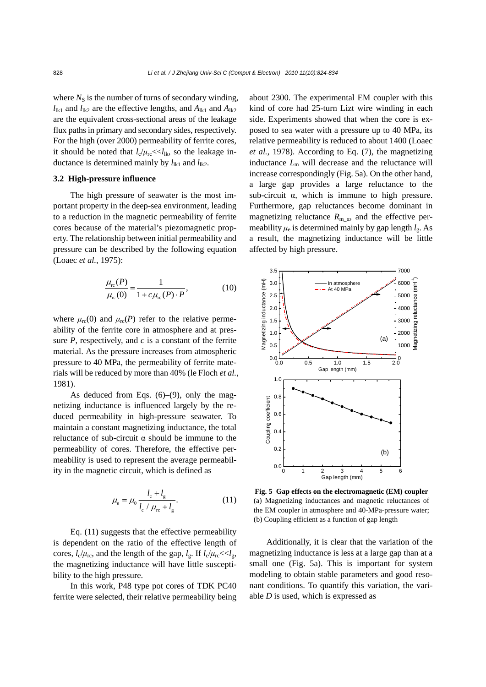where  $N<sub>S</sub>$  is the number of turns of secondary winding,  $l_{lk1}$  and  $l_{lk2}$  are the effective lengths, and  $A_{lk1}$  and  $A_{lk2}$ are the equivalent cross-sectional areas of the leakage flux paths in primary and secondary sides, respectively. For the high (over 2000) permeability of ferrite cores, it should be noted that  $l_c/\mu_{\text{rc}} \ll l_{\text{lk}}$ , so the leakage inductance is determined mainly by  $l_{1k1}$  and  $l_{1k2}$ .

### **3.2 High-pressure influence**

The high pressure of seawater is the most important property in the deep-sea environment, leading to a reduction in the magnetic permeability of ferrite cores because of the material's piezomagnetic property. The relationship between initial permeability and pressure can be described by the following equation (Loaec *et al.*, 1975):

$$
\frac{\mu_{\rm rc}(P)}{\mu_{\rm rc}(0)} = \frac{1}{1 + c\mu_{\rm rc}(P) \cdot P},\tag{10}
$$

where  $\mu_{\rm rc}(0)$  and  $\mu_{\rm rc}(P)$  refer to the relative permeability of the ferrite core in atmosphere and at pressure *P*, respectively, and *c* is a constant of the ferrite material. As the pressure increases from atmospheric pressure to 40 MPa, the permeability of ferrite materials will be reduced by more than 40% (le Floch *et al.*, 1981).

As deduced from Eqs.  $(6)$ – $(9)$ , only the magnetizing inductance is influenced largely by the reduced permeability in high-pressure seawater. To maintain a constant magnetizing inductance, the total reluctance of sub-circuit α should be immune to the permeability of cores. Therefore, the effective permeability is used to represent the average permeability in the magnetic circuit, which is defined as

$$
\mu_{\rm e} = \mu_0 \frac{l_{\rm c} + l_{\rm g}}{l_{\rm c} / \mu_{\rm rc} + l_{\rm g}}.
$$
 (11)

Eq. (11) suggests that the effective permeability is dependent on the ratio of the effective length of cores,  $l_c/\mu_{\rm rc}$ , and the length of the gap,  $l_g$ . If  $l_c/\mu_{\rm rc} \ll l_g$ , the magnetizing inductance will have little susceptibility to the high pressure.

In this work, P48 type pot cores of TDK PC40 ferrite were selected, their relative permeability being about 2300. The experimental EM coupler with this kind of core had 25-turn Lizt wire winding in each side. Experiments showed that when the core is exposed to sea water with a pressure up to 40 MPa, its relative permeability is reduced to about 1400 (Loaec *et al.*, 1978). According to Eq. (7), the magnetizing inductance  $L<sub>m</sub>$  will decrease and the reluctance will increase correspondingly (Fig. 5a). On the other hand, a large gap provides a large reluctance to the sub-circuit  $\alpha$ , which is immune to high pressure. Furthermore, gap reluctances become dominant in magnetizing reluctance  $R_{\text{m}\alpha}$ , and the effective permeability  $\mu_e$  is determined mainly by gap length  $l_g$ . As a result, the magnetizing inductance will be little affected by high pressure.



**Fig. 5 Gap effects on the electromagnetic (EM) coupler** (a) Magnetizing inductances and magnetic reluctances of the EM coupler in atmosphere and 40-MPa-pressure water; (b) Coupling efficient as a function of gap length

Additionally, it is clear that the variation of the magnetizing inductance is less at a large gap than at a small one (Fig. 5a). This is important for system modeling to obtain stable parameters and good resonant conditions. To quantify this variation, the variable *D* is used, which is expressed as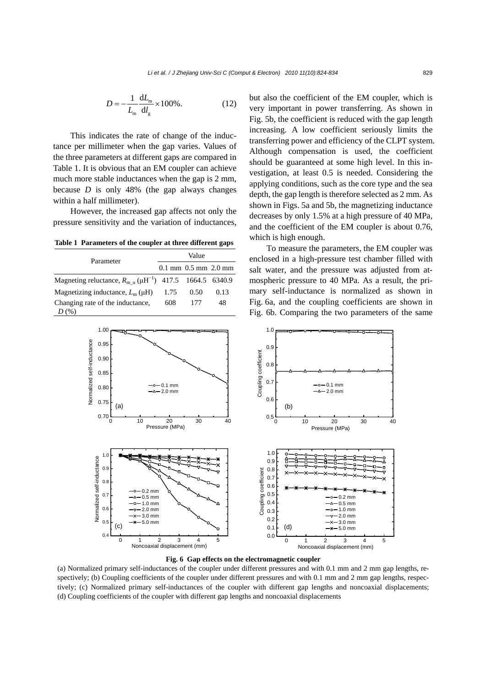$$
D = -\frac{1}{L_{\rm m}} \frac{dL_{\rm m}}{dl_{\rm g}} \times 100\%.
$$
 (12)

This indicates the rate of change of the inductance per millimeter when the gap varies. Values of the three parameters at different gaps are compared in Table 1. It is obvious that an EM coupler can achieve much more stable inductances when the gap is 2 mm, because *D* is only 48% (the gap always changes within a half millimeter).

However, the increased gap affects not only the pressure sensitivity and the variation of inductances,

**Table 1 Parameters of the coupler at three different gaps**

| Parameter                                                                                | Value |                                                    |      |  |
|------------------------------------------------------------------------------------------|-------|----------------------------------------------------|------|--|
|                                                                                          |       | $0.1 \text{ mm}$ $0.5 \text{ mm}$ $2.0 \text{ mm}$ |      |  |
| Magneting reluctance, $R_{\text{m}\alpha}$ ( $\mu$ H <sup>-1</sup> ) 417.5 1664.5 6340.9 |       |                                                    |      |  |
| Magnetizing inductance, $L_m(\mu H)$                                                     | 1.75  | 0.50                                               | 0.13 |  |
| Changing rate of the inductance,                                                         | 608   | 177                                                | 48   |  |
|                                                                                          |       |                                                    |      |  |

but also the coefficient of the EM coupler, which is very important in power transferring. As shown in Fig. 5b, the coefficient is reduced with the gap length increasing. A low coefficient seriously limits the transferring power and efficiency of the CLPT system. Although compensation is used, the coefficient should be guaranteed at some high level. In this investigation, at least 0.5 is needed. Considering the applying conditions, such as the core type and the sea depth, the gap length is therefore selected as 2 mm. As shown in Figs. 5a and 5b, the magnetizing inductance decreases by only 1.5% at a high pressure of 40 MPa, and the coefficient of the EM coupler is about 0.76, which is high enough.

To measure the parameters, the EM coupler was enclosed in a high-pressure test chamber filled with salt water, and the pressure was adjusted from atmospheric pressure to 40 MPa. As a result, the primary self-inductance is normalized as shown in Fig. 6a, and the coupling coefficients are shown in Fig. 6b. Comparing the two parameters of the same



**Fig. 6 Gap effects on the electromagnetic coupler** 

(a) Normalized primary self-inductances of the coupler under different pressures and with 0.1 mm and 2 mm gap lengths, respectively; (b) Coupling coefficients of the coupler under different pressures and with 0.1 mm and 2 mm gap lengths, respectively; (c) Normalized primary self-inductances of the coupler with different gap lengths and noncoaxial displacements; (d) Coupling coefficients of the coupler with different gap lengths and noncoaxial displacements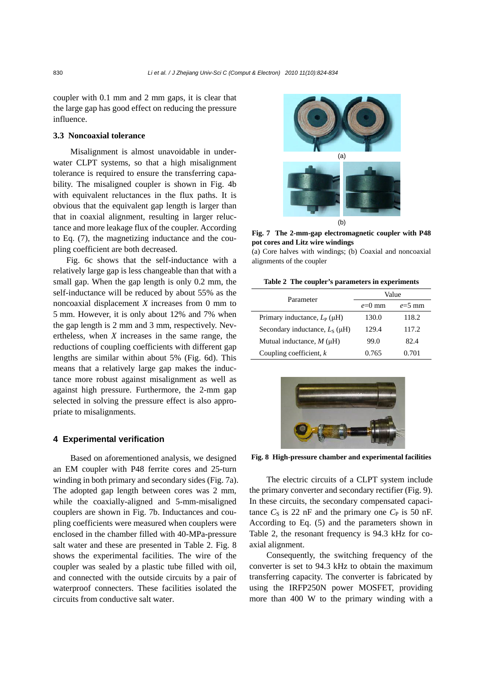coupler with 0.1 mm and 2 mm gaps, it is clear that the large gap has good effect on reducing the pressure influence.

## **3.3 Noncoaxial tolerance**

Misalignment is almost unavoidable in underwater CLPT systems, so that a high misalignment tolerance is required to ensure the transferring capability. The misaligned coupler is shown in Fig. 4b with equivalent reluctances in the flux paths. It is obvious that the equivalent gap length is larger than that in coaxial alignment, resulting in larger reluctance and more leakage flux of the coupler. According to Eq. (7), the magnetizing inductance and the coupling coefficient are both decreased.

Fig. 6c shows that the self-inductance with a relatively large gap is less changeable than that with a small gap. When the gap length is only 0.2 mm, the self-inductance will be reduced by about 55% as the noncoaxial displacement *X* increases from 0 mm to 5 mm. However, it is only about 12% and 7% when the gap length is 2 mm and 3 mm, respectively. Nevertheless, when *X* increases in the same range, the reductions of coupling coefficients with different gap lengths are similar within about 5% (Fig. 6d). This means that a relatively large gap makes the inductance more robust against misalignment as well as against high pressure. Furthermore, the 2-mm gap selected in solving the pressure effect is also appropriate to misalignments.

#### **4 Experimental verification**

Based on aforementioned analysis, we designed an EM coupler with P48 ferrite cores and 25-turn winding in both primary and secondary sides (Fig. 7a). The adopted gap length between cores was 2 mm, while the coaxially-aligned and 5-mm-misaligned couplers are shown in Fig. 7b. Inductances and coupling coefficients were measured when couplers were enclosed in the chamber filled with 40-MPa-pressure salt water and these are presented in Table 2. Fig. 8 shows the experimental facilities. The wire of the coupler was sealed by a plastic tube filled with oil, and connected with the outside circuits by a pair of waterproof connecters. These facilities isolated the circuits from conductive salt water.



**Fig. 7 The 2-mm-gap electromagnetic coupler with P48 pot cores and Litz wire windings** 

(a) Core halves with windings; (b) Coaxial and noncoaxial alignments of the coupler

|  |  | Table 2 The coupler's parameters in experiments |
|--|--|-------------------------------------------------|

| Parameter                            | Value    |          |  |
|--------------------------------------|----------|----------|--|
|                                      | $e=0$ mm | $e=5$ mm |  |
| Primary inductance, $L_P$ ( $\mu$ H) | 130.0    | 118.2    |  |
| Secondary inductance, $L_s(\mu H)$   | 129.4    | 117.2    |  |
| Mutual inductance, $M(\mu H)$        | 99.0     | 82.4     |  |
| Coupling coefficient, $k$            | 0.765    | 0.701    |  |



**Fig. 8 High-pressure chamber and experimental facilities**

The electric circuits of a CLPT system include the primary converter and secondary rectifier (Fig. 9). In these circuits, the secondary compensated capacitance  $C_S$  is 22 nF and the primary one  $C_P$  is 50 nF. According to Eq. (5) and the parameters shown in Table 2, the resonant frequency is 94.3 kHz for coaxial alignment.

Consequently, the switching frequency of the converter is set to 94.3 kHz to obtain the maximum transferring capacity. The converter is fabricated by using the IRFP250N power MOSFET, providing more than 400 W to the primary winding with a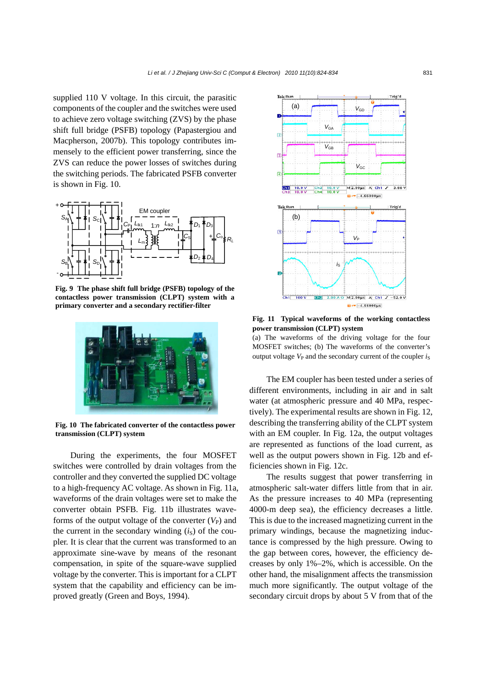supplied 110 V voltage. In this circuit, the parasitic components of the coupler and the switches were used to achieve zero voltage switching (ZVS) by the phase shift full bridge (PSFB) topology (Papastergiou and Macpherson, 2007b). This topology contributes immensely to the efficient power transferring, since the ZVS can reduce the power losses of switches during the switching periods. The fabricated PSFB converter is shown in Fig. 10.



**Fig. 9 The phase shift full bridge (PSFB) topology of the contactless power transmission (CLPT) system with a primary converter and a secondary rectifier-filter**



**Fig. 10 The fabricated converter of the contactless power transmission (CLPT) system**

During the experiments, the four MOSFET switches were controlled by drain voltages from the controller and they converted the supplied DC voltage to a high-frequency AC voltage. As shown in Fig. 11a, waveforms of the drain voltages were set to make the converter obtain PSFB. Fig. 11b illustrates waveforms of the output voltage of the converter  $(V_P)$  and the current in the secondary winding  $(i<sub>S</sub>)$  of the coupler. It is clear that the current was transformed to an approximate sine-wave by means of the resonant compensation, in spite of the square-wave supplied voltage by the converter. This is important for a CLPT system that the capability and efficiency can be improved greatly (Green and Boys, 1994).



**Fig. 11 Typical waveforms of the working contactless power transmission (CLPT) system** 

(a) The waveforms of the driving voltage for the four MOSFET switches; (b) The waveforms of the converter's output voltage  $V_P$  and the secondary current of the coupler  $i_S$ 

The EM coupler has been tested under a series of different environments, including in air and in salt water (at atmospheric pressure and 40 MPa, respectively). The experimental results are shown in Fig. 12, describing the transferring ability of the CLPT system with an EM coupler. In Fig. 12a, the output voltages are represented as functions of the load current, as well as the output powers shown in Fig. 12b and efficiencies shown in Fig. 12c.

The results suggest that power transferring in atmospheric salt-water differs little from that in air. As the pressure increases to 40 MPa (representing 4000-m deep sea), the efficiency decreases a little. This is due to the increased magnetizing current in the primary windings, because the magnetizing inductance is compressed by the high pressure. Owing to the gap between cores, however, the efficiency decreases by only 1%–2%, which is accessible. On the other hand, the misalignment affects the transmission much more significantly. The output voltage of the secondary circuit drops by about 5 V from that of the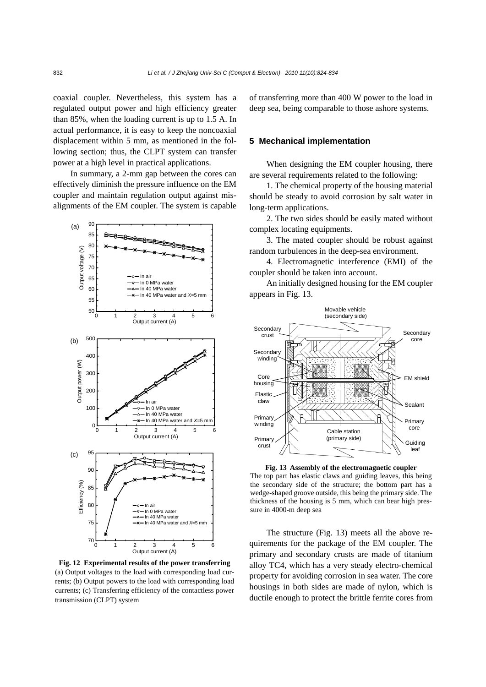coaxial coupler. Nevertheless, this system has a regulated output power and high efficiency greater than 85%, when the loading current is up to 1.5 A. In actual performance, it is easy to keep the noncoaxial displacement within 5 mm, as mentioned in the following section; thus, the CLPT system can transfer power at a high level in practical applications.

In summary, a 2-mm gap between the cores can effectively diminish the pressure influence on the EM coupler and maintain regulation output against misalignments of the EM coupler. The system is capable



**Fig. 12 Experimental results of the power transferring**  (a) Output voltages to the load with corresponding load currents; (b) Output powers to the load with corresponding load currents; (c) Transferring efficiency of the contactless power transmission (CLPT) system

of transferring more than 400 W power to the load in deep sea, being comparable to those ashore systems.

## **5 Mechanical implementation**

When designing the EM coupler housing, there are several requirements related to the following:

1. The chemical property of the housing material should be steady to avoid corrosion by salt water in long-term applications.

2. The two sides should be easily mated without complex locating equipments.

3. The mated coupler should be robust against random turbulences in the deep-sea environment.

4. Electromagnetic interference (EMI) of the coupler should be taken into account.

An initially designed housing for the EM coupler appears in Fig. 13.



**Fig. 13 Assembly of the electromagnetic coupler**  The top part has elastic claws and guiding leaves, this being the secondary side of the structure; the bottom part has a wedge-shaped groove outside, this being the primary side. The thickness of the housing is 5 mm, which can bear high pressure in 4000-m deep sea

The structure (Fig. 13) meets all the above requirements for the package of the EM coupler. The primary and secondary crusts are made of titanium alloy TC4, which has a very steady electro-chemical property for avoiding corrosion in sea water. The core housings in both sides are made of nylon, which is ductile enough to protect the brittle ferrite cores from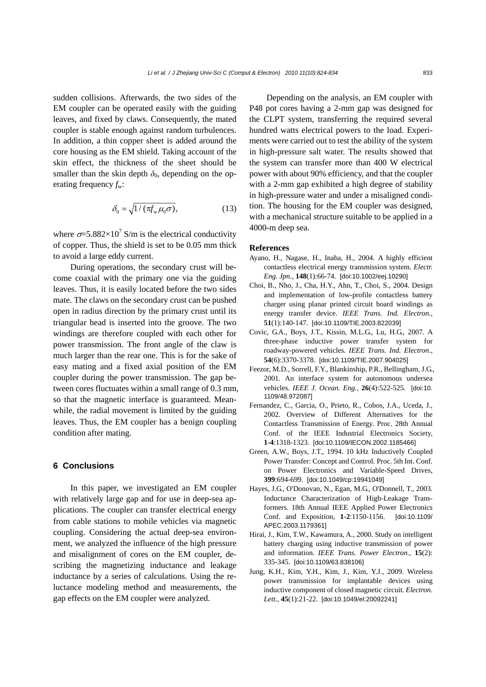sudden collisions. Afterwards, the two sides of the EM coupler can be operated easily with the guiding leaves, and fixed by claws. Consequently, the mated coupler is stable enough against random turbulences. In addition, a thin copper sheet is added around the core housing as the EM shield. Taking account of the skin effect, the thickness of the sheet should be smaller than the skin depth  $\delta_0$ , depending on the operating frequency *f*w:

$$
\delta_0 = \sqrt{1/(\pi f_w \mu_0 \sigma)}, \tag{13}
$$

where  $\sigma = 5.882 \times 10^7$  S/m is the electrical conductivity of copper. Thus, the shield is set to be 0.05 mm thick to avoid a large eddy current.

During operations, the secondary crust will become coaxial with the primary one via the guiding leaves. Thus, it is easily located before the two sides mate. The claws on the secondary crust can be pushed open in radius direction by the primary crust until its triangular head is inserted into the groove. The two windings are therefore coupled with each other for power transmission. The front angle of the claw is much larger than the rear one. This is for the sake of easy mating and a fixed axial position of the EM coupler during the power transmission. The gap between cores fluctuates within a small range of 0.3 mm, so that the magnetic interface is guaranteed. Meanwhile, the radial movement is limited by the guiding leaves. Thus, the EM coupler has a benign coupling condition after mating.

## **6 Conclusions**

In this paper, we investigated an EM coupler with relatively large gap and for use in deep-sea applications. The coupler can transfer electrical energy from cable stations to mobile vehicles via magnetic coupling. Considering the actual deep-sea environment, we analyzed the influence of the high pressure and misalignment of cores on the EM coupler, describing the magnetizing inductance and leakage inductance by a series of calculations. Using the reluctance modeling method and measurements, the gap effects on the EM coupler were analyzed.

Depending on the analysis, an EM coupler with P48 pot cores having a 2-mm gap was designed for the CLPT system, transferring the required several hundred watts electrical powers to the load. Experiments were carried out to test the ability of the system in high-pressure salt water. The results showed that the system can transfer more than 400 W electrical power with about 90% efficiency, and that the coupler with a 2-mm gap exhibited a high degree of stability in high-pressure water and under a misaligned condition. The housing for the EM coupler was designed, with a mechanical structure suitable to be applied in a 4000-m deep sea.

### **References**

- Ayano, H., Nagase, H., Inaba, H., 2004. A highly efficient contactless electrical energy transmission system. *Electr. Eng. Jpn.*, **148**(1):66-74. [doi:10.1002/eej.10290]
- Choi, B., Nho, J., Cha, H.Y., Ahn, T., Choi, S., 2004. Design and implementation of low-profile contactless battery charger using planar printed circuit board windings as energy transfer device. *IEEE Trans. Ind. Electron.*, **51**(1):140-147. [doi:10.1109/TIE.2003.822039]
- Covic, G.A., Boys, J.T., Kissin, M.L.G., Lu, H.G., 2007. A three-phase inductive power transfer system for roadway-powered vehicles. *IEEE Trans. Ind. Electron.*, **54**(6):3370-3378. [doi:10.1109/TIE.2007.904025]
- Feezor, M.D., Sorrell, F.Y., Blankinship, P.R., Bellingham, J.G., 2001. An interface system for autonomous undersea vehicles. *IEEE J. Ocean. Eng.*, **26**(4):522-525. [doi:10. 1109/48.972087]
- Fernandez, C., Garcia, O., Prieto, R., Cobos, J.A., Uceda, J., 2002. Overview of Different Alternatives for the Contactless Transmission of Energy. Proc. 28th Annual Conf. of the IEEE Industrial Electronics Society, **1-4**:1318-1323. [doi:10.1109/IECON.2002.1185466]
- Green, A.W., Boys, J.T., 1994. 10 kHz Inductively Coupled Power Transfer: Concept and Control. Proc. 5th Int. Conf. on Power Electronics and Variable-Speed Drives, **399**:694-699. [doi:10.1049/cp:19941049]
- Hayes, J.G., O'Donovan, N., Egan, M.G., O'Donnell, T., 2003. Inductance Characterization of High-Leakage Transformers. 18th Annual IEEE Applied Power Electronics Conf. and Exposition, **1-2**:1150-1156. [doi:10.1109/ APEC.2003.1179361]
- Hirai, J., Kim, T.W., Kawamura, A., 2000. Study on intelligent battery charging using inductive transmission of power and information. *IEEE Trans. Power Electron.*, **15**(2): 335-345. [doi:10.1109/63.838106]
- Jung, K.H., Kim, Y.H., Kim, J., Kim, Y.J., 2009. Wireless power transmission for implantable devices using inductive component of closed magnetic circuit. *Electron. Lett.*, **45**(1):21-22. [doi:10.1049/el:20092241]